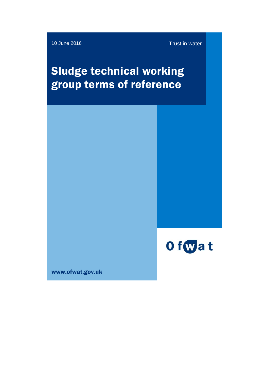10 June 2016 **Trust in water** 

# Sludge technical working group terms of reference



www.ofwat.gov.uk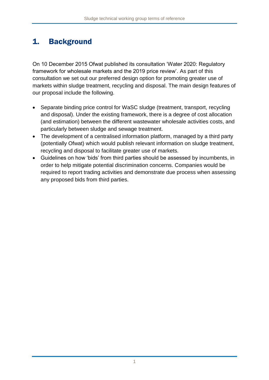### 1. Background

On 10 December 2015 Ofwat published its consultation 'Water 2020: Regulatory framework for wholesale markets and the 2019 price review'. As part of this consultation we set out our preferred design option for promoting greater use of markets within sludge treatment, recycling and disposal. The main design features of our proposal include the following.

- Separate binding price control for WaSC sludge (treatment, transport, recycling and disposal). Under the existing framework, there is a degree of cost allocation (and estimation) between the different wastewater wholesale activities costs, and particularly between sludge and sewage treatment.
- The development of a centralised information platform, managed by a third party (potentially Ofwat) which would publish relevant information on sludge treatment, recycling and disposal to facilitate greater use of markets.
- Guidelines on how 'bids' from third parties should be assessed by incumbents, in order to help mitigate potential discrimination concerns. Companies would be required to report trading activities and demonstrate due process when assessing any proposed bids from third parties.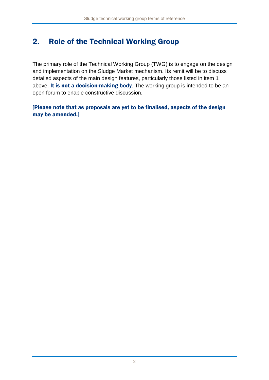## 2. Role of the Technical Working Group

The primary role of the Technical Working Group (TWG) is to engage on the design and implementation on the Sludge Market mechanism. Its remit will be to discuss detailed aspects of the main design features, particularly those listed in item 1 above. It is not a decision-making body. The working group is intended to be an open forum to enable constructive discussion.

### [Please note that as proposals are yet to be finalised, aspects of the design may be amended.]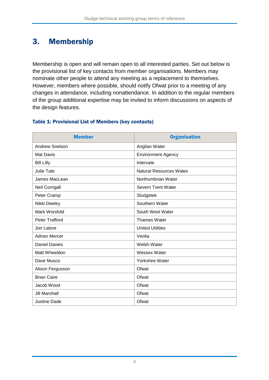### 3. Membership

Membership is open and will remain open to all interested parties. Set out below is the provisional list of key contacts from member organisations. Members may nominate other people to attend any meeting as a replacement to themselves. However, members where possible, should notify Ofwat prior to a meeting of any changes in attendance, including nonattendance. In addition to the regular members of the group additional expertise may be invited to inform discussions on aspects of the design features.

| <b>Member</b>         | <b>Organisation</b>            |
|-----------------------|--------------------------------|
| <b>Andrew Snelson</b> | Anglian Water                  |
| <b>Mat Davis</b>      | <b>Environment Agency</b>      |
| <b>Bill Lilly</b>     | Intervate                      |
| <b>Julie Tate</b>     | <b>Natural Resources Wales</b> |
| James MacLean         | Northumbrian Water             |
| Neil Corrigall        | <b>Severn Trent Water</b>      |
| Peter Cramp           | Sludgetek                      |
| Nikki Deeley          | Southern Water                 |
| Mark Worsfold         | South West Water               |
| Peter Trafford        | <b>Thames Water</b>            |
| Jon Latore            | <b>United Utilities</b>        |
| <b>Adrian Mercer</b>  | Veolia                         |
| <b>Daniel Davies</b>  | Welsh Water                    |
| Matt Wheeldon         | Wessex Water                   |
| Dave Musco            | <b>Yorkshire Water</b>         |
| Alison Fergusson      | Ofwat                          |
| <b>Brian Caire</b>    | Ofwat                          |
| Jacob Wood            | Ofwat                          |
| <b>Jill Marshall</b>  | Ofwat                          |
| <b>Justine Dade</b>   | Ofwat                          |

#### Table 1: Provisional List of Members (key contacts)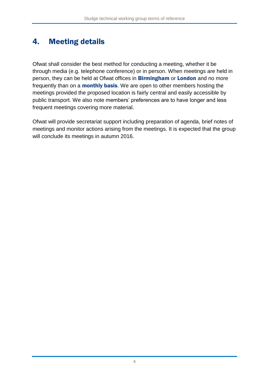## 4. Meeting details

Ofwat shall consider the best method for conducting a meeting, whether it be through media (e.g. telephone conference) or in person. When meetings are held in person, they can be held at Ofwat offices in **Birmingham** or **London** and no more frequently than on a **monthly basis**. We are open to other members hosting the meetings provided the proposed location is fairly central and easily accessible by public transport. We also note members' preferences are to have longer and less frequent meetings covering more material.

Ofwat will provide secretariat support including preparation of agenda, brief notes of meetings and monitor actions arising from the meetings. It is expected that the group will conclude its meetings in autumn 2016.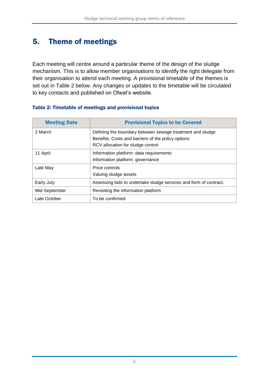## 5. Theme of meetings

Each meeting will centre around a particular theme of the design of the sludge mechanism. This is to allow member organisations to identify the right delegate from their organisation to attend each meeting. A provisional timetable of the themes is set out in Table 2 below. Any changes or updates to the timetable will be circulated to key contacts and published on Ofwat's website.

#### Table 2: Timetable of meetings and provisional topics

| <b>Meeting Date</b> | <b>Provisional Topics to be Covered</b>                                                                                                              |
|---------------------|------------------------------------------------------------------------------------------------------------------------------------------------------|
| 2 March             | Defining the boundary between sewage treatment and sludge<br>Benefits, Costs and barriers of the policy options<br>RCV allocation for sludge control |
| 11 April            | Information platform: data requirements<br>Information platform: governance                                                                          |
| Late May            | Price controls<br>Valuing sludge assets                                                                                                              |
| Early July          | Assessing bids to undertake sludge services and form of contract.                                                                                    |
| Mid-September       | Revisiting the information platform                                                                                                                  |
| Late October        | To be confirmed                                                                                                                                      |